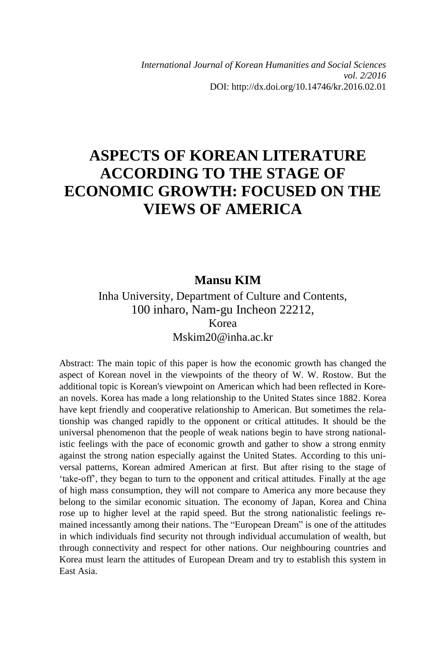# **ASPECTS OF KOREAN LITERATURE ACCORDING TO THE STAGE OF ECONOMIC GROWTH: FOCUSED ON THE VIEWS OF AMERICA**

### **Mansu KIM**

Inha University, Department of Culture and Contents, 100 inharo, Nam-gu Incheon 22212, Korea Mskim20@inha.ac.kr

Abstract: The main topic of this paper is how the economic growth has changed the aspect of Korean novel in the viewpoints of the theory of W. W. Rostow. But the additional topic is Korean's viewpoint on American which had been reflected in Korean novels. Korea has made a long relationship to the United States since 1882. Korea have kept friendly and cooperative relationship to American. But sometimes the relationship was changed rapidly to the opponent or critical attitudes. It should be the universal phenomenon that the people of weak nations begin to have strong nationalistic feelings with the pace of economic growth and gather to show a strong enmity against the strong nation especially against the United States. According to this universal patterns, Korean admired American at first. But after rising to the stage of 'take-off', they began to turn to the opponent and critical attitudes. Finally at the age of high mass consumption, they will not compare to America any more because they belong to the similar economic situation. The economy of Japan, Korea and China rose up to higher level at the rapid speed. But the strong nationalistic feelings remained incessantly among their nations. The "European Dream" is one of the attitudes in which individuals find security not through individual accumulation of wealth, but through connectivity and respect for other nations. Our neighbouring countries and Korea must learn the attitudes of European Dream and try to establish this system in East Asia.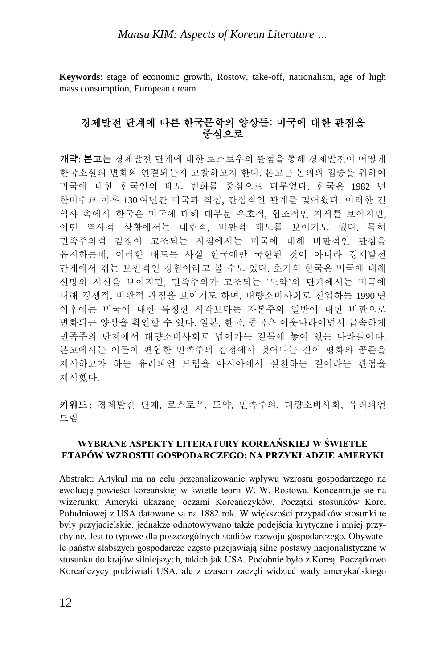**Keywords**: stage of economic growth, Rostow, take-off, nationalism, age of high mass consumption, European dream

### 경제발전 단계에 따른 한국문학의 양상들: 미국에 대한 관점을 중심으로

개략: 본고는 경제발전 단계에 대한 로스토우의 관점을 통해 경제발전이 어떻게 한국소설의 변화와 연결되는지 고찰하고자 한다. 본고는 논의의 집중을 위하여 미국에 대한 한국인의 태도 변화를 중심으로 다루었다. 한국은 1982 년 한미수교 이후 130 여년간 미국과 직접, 간접적인 관계를 맺어왔다. 이러한 긴 역사 속에서 한국은 미국에 대해 대부분 우호적, 협조적인 자세를 보이지만, 어떤 역사적 상황에서는 대립적, 비판적 태도를 보이기도 했다. 특히 민족주의적 감정이 고조되는 시점에서는 미국에 대해 비판적인 관점을 유지하는데, 이러한 태도는 사실 한국에만 국한된 것이 아니라 경제발전 단계에서 겪는 보편적인 경험이라고 볼 수도 있다. 초기의 한국은 미국에 대해 선망의 시선을 보이지만, 민족주의가 고조되는 '도약'의 단계에서는 미국에 대해 경쟁적, 비판적 관점을 보이기도 하며, 대량소비사회로 진입하는 1990 년 이후에는 미국에 대한 특정한 시각보다는 자본주의 일반에 대한 비판으로 변화되는 양상을 확인할 수 있다. 일본, 한국, 중국은 이웃나라이면서 급속하게 민족주의 단계에서 대량소비사회로 넘어가는 길목에 놓여 있는 나라들이다. 본고에서는 이들이 편협한 민족주의 감정에서 벗어나는 길이 평화와 공존을 제시하고자 하는 유러피언 드림을 아시아에서 실천하는 길이라는 관점을 제시했다.

키워드 : 경제발전 단계, 로스토우, 도약, 민족주의, 대량소비사회, 유러피언 드림

#### **WYBRANE ASPEKTY LITERATURY KOREAŃSKIEJ W ŚWIETLE ETAPÓW WZROSTU GOSPODARCZEGO: NA PRZYKŁADZIE AMERYKI**

Abstrakt: Artykuł ma na celu przeanalizowanie wpływu wzrostu gospodarczego na ewolucję powieści koreańskiej w świetle teorii W. W. Rostowa. Koncentruje się na wizerunku Ameryki ukazanej oczami Koreańczyków. Początki stosunków Korei Południowej z USA datowane są na 1882 rok. W większości przypadków stosunki te były przyjacielskie, jednakże odnotowywano także podejścia krytyczne i mniej przychylne. Jest to typowe dla poszczególnych stadiów rozwoju gospodarczego. Obywatele państw słabszych gospodarczo często przejawiają silne postawy nacjonalistyczne w stosunku do krajów silniejszych, takich jak USA. Podobnie było z Koreą. Początkowo Koreańczycy podziwiali USA, ale z czasem zaczęli widzieć wady amerykańskiego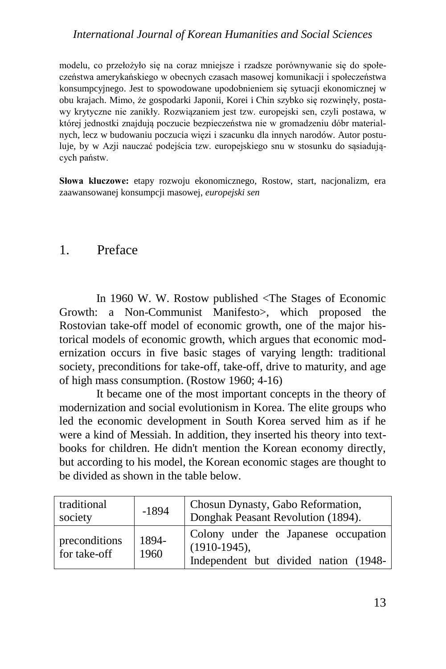### *International Journal of Korean Humanities and Social Sciences*

modelu, co przełożyło się na coraz mniejsze i rzadsze porównywanie się do społeczeństwa amerykańskiego w obecnych czasach masowej komunikacji i społeczeństwa konsumpcyjnego. Jest to spowodowane upodobnieniem się sytuacji ekonomicznej w obu krajach. Mimo, że gospodarki Japonii, Korei i Chin szybko się rozwinęły, postawy krytyczne nie zanikły. Rozwiązaniem jest tzw. europejski sen, czyli postawa, w której jednostki znajdują poczucie bezpieczeństwa nie w gromadzeniu dóbr materialnych, lecz w budowaniu poczucia więzi i szacunku dla innych narodów. Autor postuluje, by w Azji nauczać podejścia tzw. europejskiego snu w stosunku do sąsiadujących państw.

**Słowa kluczowe:** etapy rozwoju ekonomicznego, Rostow, start, nacjonalizm, era zaawansowanej konsumpcji masowej, *europejski sen*

# 1. Preface

In 1960 W. W. Rostow published <The Stages of Economic Growth: a Non-Communist Manifesto>, which proposed the Rostovian take-off model of economic growth, one of the major historical models of economic growth, which argues that economic modernization occurs in five basic stages of varying length: traditional society, preconditions for take-off, take-off, drive to maturity, and age of high mass consumption. (Rostow 1960; 4-16)

It became one of the most important concepts in the theory of modernization and social evolutionism in Korea. The elite groups who led the economic development in South Korea served him as if he were a kind of Messiah. In addition, they inserted his theory into textbooks for children. He didn't mention the Korean economy directly, but according to his model, the Korean economic stages are thought to be divided as shown in the table below.

| traditional<br>society        | $-1894$       | Chosun Dynasty, Gabo Reformation,<br>Donghak Peasant Revolution (1894).                         |
|-------------------------------|---------------|-------------------------------------------------------------------------------------------------|
| preconditions<br>for take-off | 1894-<br>1960 | Colony under the Japanese occupation<br>$(1910-1945),$<br>Independent but divided nation (1948- |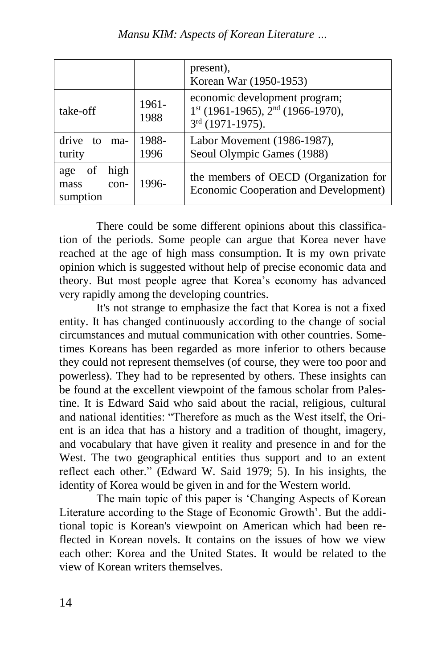|                                               |               | present),<br>Korean War (1950-1953)                                                        |
|-----------------------------------------------|---------------|--------------------------------------------------------------------------------------------|
| take-off                                      | 1961-<br>1988 | economic development program;<br>$1st$ (1961-1965), $2nd$ (1966-1970),<br>3rd (1971-1975). |
| drive<br>to<br>ma-<br>turity                  | 1988-<br>1996 | Labor Movement (1986-1987),<br>Seoul Olympic Games (1988)                                  |
| high<br>of<br>age<br>con-<br>mass<br>sumption | 1996-         | the members of OECD (Organization for<br>Economic Cooperation and Development)             |

There could be some different opinions about this classification of the periods. Some people can argue that Korea never have reached at the age of high mass consumption. It is my own private opinion which is suggested without help of precise economic data and theory. But most people agree that Korea's economy has advanced very rapidly among the developing countries.

It's not strange to emphasize the fact that Korea is not a fixed entity. It has changed continuously according to the change of social circumstances and mutual communication with other countries. Sometimes Koreans has been regarded as more inferior to others because they could not represent themselves (of course, they were too poor and powerless). They had to be represented by others. These insights can be found at the excellent viewpoint of the famous scholar from Palestine. It is Edward Said who said about the racial, religious, cultural and national identities: "Therefore as much as the West itself, the Orient is an idea that has a history and a tradition of thought, imagery, and vocabulary that have given it reality and presence in and for the West. The two geographical entities thus support and to an extent reflect each other." (Edward W. Said 1979; 5). In his insights, the identity of Korea would be given in and for the Western world.

The main topic of this paper is 'Changing Aspects of Korean Literature according to the Stage of Economic Growth'. But the additional topic is Korean's viewpoint on American which had been reflected in Korean novels. It contains on the issues of how we view each other: Korea and the United States. It would be related to the view of Korean writers themselves.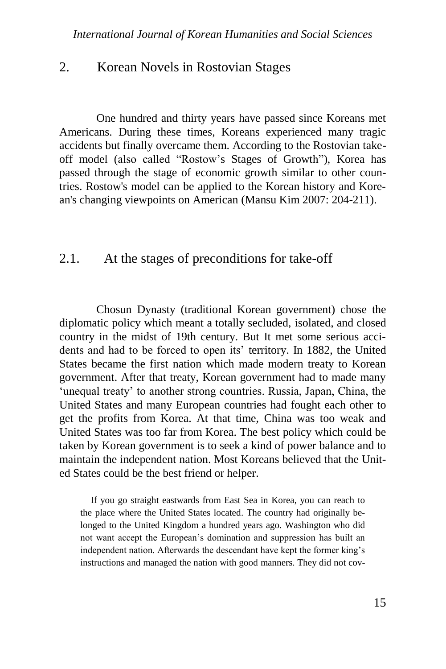### 2. Korean Novels in Rostovian Stages

One hundred and thirty years have passed since Koreans met Americans. During these times, Koreans experienced many tragic accidents but finally overcame them. According to the Rostovian takeoff model (also called "Rostow's Stages of Growth"), Korea has passed through the stage of economic growth similar to other countries. Rostow's model can be applied to the Korean history and Korean's changing viewpoints on American (Mansu Kim 2007: 204-211).

## 2.1. At the stages of preconditions for take-off

Chosun Dynasty (traditional Korean government) chose the diplomatic policy which meant a totally secluded, [isolated,](https://en.wikipedia.org/wiki/Isolationism) and closed country in the midst of 19th century. But It met some serious accidents and had to be forced to open its' territory. In 1882, the United States became the first nation which made modern treaty to Korean government. After that treaty, Korean government had to made many 'unequal treaty' to another strong countries. Russia, Japan, China, the United States and many European countries had fought each other to get the profits from Korea. At that time, China was too weak and United States was too far from Korea. The best policy which could be taken by Korean government is to seek a kind of power balance and to maintain the independent nation. Most Koreans believed that the United States could be the best friend or helper.

If you go straight eastwards from East Sea in Korea, you can reach to the place where the United States located. The country had originally belonged to the United Kingdom a hundred years ago. Washington who did not want accept the European's domination and suppression has built an independent nation. Afterwards the descendant have kept the former king's instructions and managed the nation with good manners. They did not cov-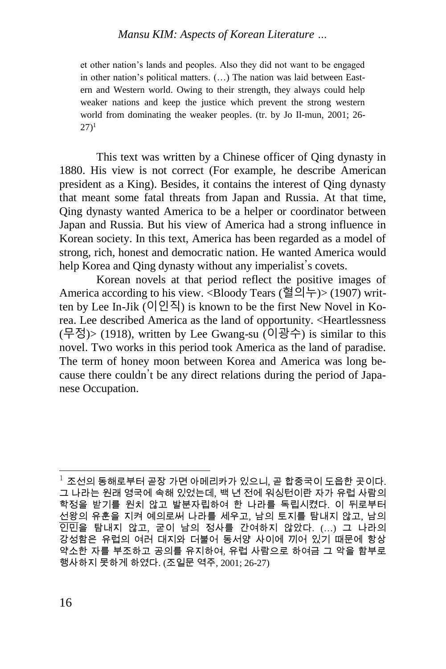#### *Mansu KIM: Aspects of Korean Literature …*

et other nation's lands and peoples. Also they did not want to be engaged in other nation's political matters. (…) The nation was laid between Eastern and Western world. Owing to their strength, they always could help weaker nations and keep the justice which prevent the strong western world from dominating the weaker peoples. (tr. by Jo Il-mun, 2001; 26-  $27)$ <sup>1</sup>

This text was written by a Chinese officer of Qing dynasty in 1880. His view is not correct (For example, he describe American president as a King). Besides, it contains the interest of Qing dynasty that meant some fatal threats from Japan and Russia. At that time, Qing dynasty wanted America to be a helper or coordinator between Japan and Russia. But his view of America had a strong influence in Korean society. In this text, America has been regarded as a model of strong, rich, honest and democratic nation. He wanted America would help Korea and Qing dynasty without any imperialist's covets.

Korean novels at that period reflect the positive images of America according to his view. <Bloody Tears (혈의누)> (1907) written by Lee In-Jik (이인직) is known to be the first New Novel in Korea. Lee described America as the land of opportunity. <Heartlessness (무정)> (1918), written by Lee Gwang-su (이광수) is similar to this novel. Two works in this period took America as the land of paradise. The term of honey moon between Korea and America was long because there couldn't be any direct relations during the period of Japanese Occupation.

 $\overline{\phantom{a}}$  $^{\rm l}$  조선의 동해로부터 곧장 가면 아메리카가 있으니, 곧 합중국이 도읍한 곳이다. 그 나라는 원래 영국에 속해 있었는데, 백 년 전에 워싱턴이란 자가 유럽 사람의 학정을 받기를 원치 않고 발분자립하여 한 나라를 독립시켰다. 이 뒤로부터 선왕의 유훈을 지켜 예의로써 나라를 세우고, 남의 토지를 탐내지 않고, 남의 인민을 탐내지 않고, 굳이 남의 정사를 간여하지 않았다. (…) 그 나라의 강성함은 유럽의 여러 대지와 더불어 동서양 사이에 끼어 있기 때문에 항상 약소한 자를 부조하고 공의를 유지하여, 유럽 사람으로 하여금 그 악을 함부로 행사하지 못하게 하였다. (조일문 역주, 2001; 26-27)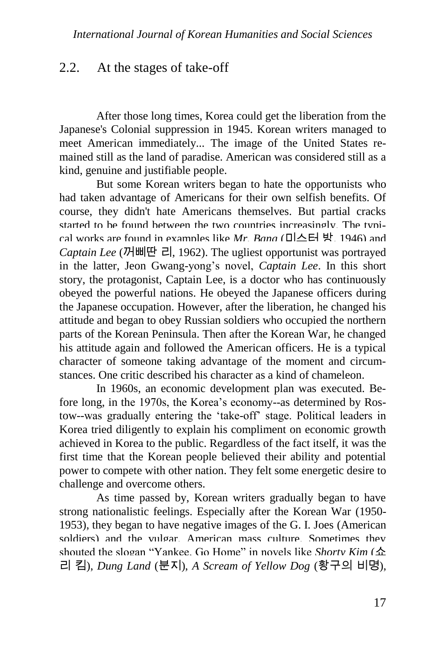## 2.2. At the stages of take-off

After those long times, Korea could get the liberation from the Japanese's Colonial suppression in 1945. Korean writers managed to meet American immediately... The image of the United States remained still as the land of paradise. American was considered still as a kind, genuine and justifiable people.

But some Korean writers began to hate the opportunists who had taken advantage of Americans for their own selfish benefits. Of course, they didn't hate Americans themselves. But partial cracks started to be found between the two countries increasingly. The typical works are found in examples like *Mr. Bang* (미스터 방, 1946) and *Captain Lee* (꺼삐딴 리, 1962). The ugliest opportunist was portrayed in the latter, Jeon Gwang-yong's novel, *Captain Lee*. In this short story, the protagonist, Captain Lee, is a doctor who has continuously obeyed the powerful nations. He obeyed the Japanese officers during the Japanese occupation. However, after the liberation, he changed his attitude and began to obey Russian soldiers who occupied the northern parts of the Korean Peninsula. Then after the Korean War, he changed his attitude again and followed the American officers. He is a typical character of someone taking advantage of the moment and circumstances. One critic described his character as a kind of chameleon.

In 1960s, an economic development plan was executed. Before long, in the 1970s, the Korea's economy--as determined by Rostow--was gradually entering the 'take-off' stage. Political leaders in Korea tried diligently to explain his compliment on economic growth achieved in Korea to the public. Regardless of the fact itself, it was the first time that the Korean people believed their ability and potential power to compete with other nation. They felt some energetic desire to challenge and overcome others.

As time passed by, Korean writers gradually began to have strong nationalistic feelings. Especially after the Korean War (1950- 1953), they began to have negative images of the G. I. Joes (American soldiers) and the vulgar. American mass culture. Sometimes they shouted the slogan "Yankee, Go Home" in novels like *Shorty Kim* (쇼 리 킴), *Dung Land* (분지), *A Scream of Yellow Dog* (황구의 비명),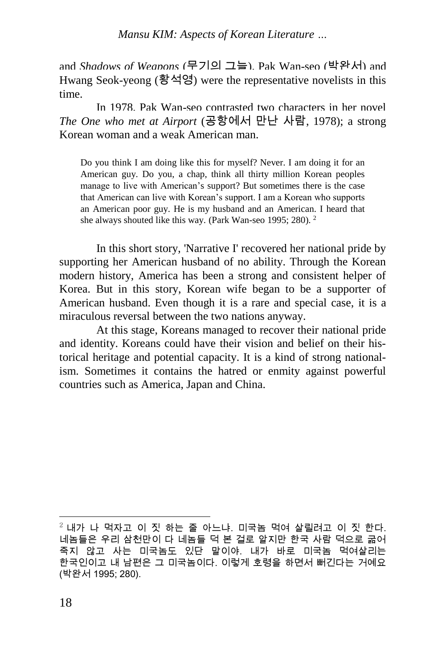and *Shadows of Weapons* (무기의 그늘). Pak Wan-seo (박완서) and Hwang Seok-yeong (황석영) were the representative novelists in this time.

In 1978, Pak Wan-seo contrasted two characters in her novel *The One who met at Airport* (공항에서 만난 사람, 1978); a strong Korean woman and a weak American man.

Do you think I am doing like this for myself? Never. I am doing it for an American guy. Do you, a chap, think all thirty million Korean peoples manage to live with American's support? But sometimes there is the case that American can live with Korean's support. I am a Korean who supports an American poor guy. He is my husband and an American. I heard that she always shouted like this way. (Park Wan-seo 1995; 280). <sup>2</sup>

In this short story, 'Narrative I' recovered her national pride by supporting her American husband of no ability. Through the Korean modern history, America has been a strong and consistent helper of Korea. But in this story, Korean wife began to be a supporter of American husband. Even though it is a rare and special case, it is a miraculous reversal between the two nations anyway.

At this stage, Koreans managed to recover their national pride and identity. Koreans could have their vision and belief on their historical heritage and potential capacity. It is a kind of strong nationalism. Sometimes it contains the hatred or enmity against powerful countries such as America, Japan and China.

-

 $^2$  내가 나 먹자고 이 짓 하는 줄 아느냐. 미국놈 먹여 살릴려고 이 짓 한다. 네놈들은 우리 삼천만이 다 네놈들 덕 본 걸로 알지만 한국 사람 덕으로 굶어 죽지 않고 사는 미국놈도 있단 말이야. 내가 바로 미국놈 먹여살리는 한국인이고 내 남편은 그 미국놈이다. 이렇게 호령을 하면서 뻐긴다는 거예요 (박완서 1995; 280).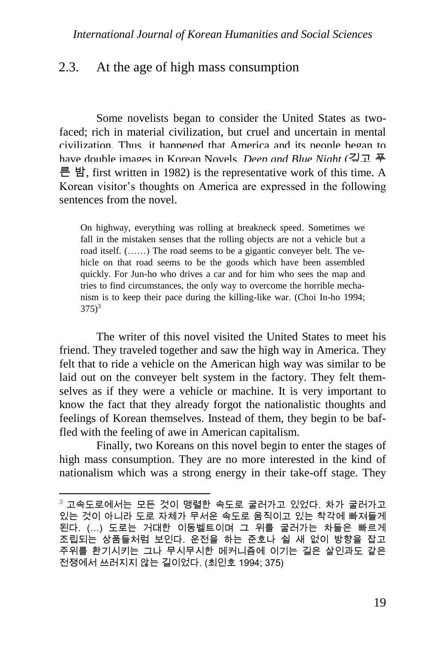## 2.3. At the age of high mass consumption

Some novelists began to consider the United States as twofaced; rich in material civilization, but cruel and uncertain in mental civilization. Thus, it happened that America and its people began to have double images in Korean Novels. *Deen and Blue Night* (깊고 푸 른 밤, first written in 1982) is the representative work of this time. A Korean visitor's thoughts on America are expressed in the following sentences from the novel.

On highway, everything was rolling at breakneck speed. Sometimes we fall in the mistaken senses that the rolling objects are not a vehicle but a road itself. (……) The road seems to be a gigantic conveyer belt. The vehicle on that road seems to be the goods which have been assembled quickly. For Jun-ho who drives a car and for him who sees the map and tries to find circumstances, the only way to overcome the horrible mechanism is to keep their pace during the killing-like war. (Choi In-ho 1994;  $375)^3$ 

The writer of this novel visited the United States to meet his friend. They traveled together and saw the high way in America. They felt that to ride a vehicle on the American high way was similar to be laid out on the conveyer belt system in the factory. They felt themselves as if they were a vehicle or machine. It is very important to know the fact that they already forgot the nationalistic thoughts and feelings of Korean themselves. Instead of them, they begin to be baffled with the feeling of awe in American capitalism.

Finally, two Koreans on this novel begin to enter the stages of high mass consumption. They are no more interested in the kind of nationalism which was a strong energy in their take-off stage. They

1

 $3$  고속도로에서는 모든 것이 맹렬한 속도로 굴러가고 있었다. 차가 굴러가고 있는 것이 아니라 도로 자체가 무서운 속도로 움직이고 있는 착각에 빠져들게 된다. (…) 도로는 거대한 이동벨트이며 그 위를 굴러가는 차들은 빠르게 조립되는 상품들처럼 보인다. 운전을 하는 준호나 쉴 새 없이 방향을 잡고 주위를 환기시키는 그나 무시무시한 메커니즘에 이기는 길은 살인과도 같은 전쟁에서 쓰러지지 않는 길이었다. (최인호 1994; 375)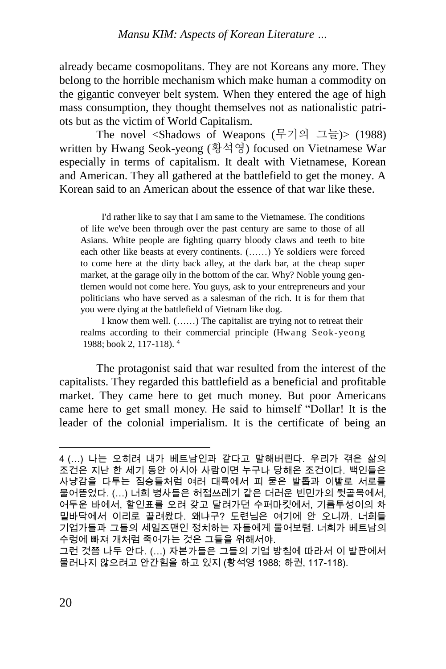already became cosmopolitans. They are not Koreans any more. They belong to the horrible mechanism which make human a commodity on the gigantic conveyer belt system. When they entered the age of high mass consumption, they thought themselves not as nationalistic patriots but as the victim of World Capitalism.

The novel <Shadows of Weapons (무기의 그늘)> (1988) written by Hwang Seok-yeong (황석영) focused on Vietnamese War especially in terms of capitalism. It dealt with Vietnamese, Korean and American. They all gathered at the battlefield to get the money. A Korean said to an American about the essence of that war like these.

I'd rather like to say that I am same to the Vietnamese. The conditions of life we've been through over the past century are same to those of all Asians. White people are fighting quarry bloody claws and teeth to bite each other like beasts at every continents. (……) Ye soldiers were forced to come here at the dirty back alley, at the dark bar, at the cheap super market, at the garage oily in the bottom of the car. Why? Noble young gentlemen would not come here. You guys, ask to your entrepreneurs and your politicians who have served as a salesman of the rich. It is for them that you were dying at the battlefield of Vietnam like dog.

I know them well. (……) The capitalist are trying not to retreat their realms according to their commercial principle (Hwang Seok-yeong 1988; book 2, 117-118). 4

The protagonist said that war resulted from the interest of the capitalists. They regarded this battlefield as a beneficial and profitable market. They came here to get much money. But poor Americans came here to get small money. He said to himself "Dollar! It is the leader of the colonial imperialism. It is the certificate of being an

-

<sup>4</sup> (…) 나는 오히려 내가 베트남인과 같다고 말해버린다. 우리가 겪은 삶의 조건은 지난 한 세기 동안 아시아 사람이면 누구나 당해온 조건이다. 백인들은 사냥감을 다투는 짐승들처럼 여러 대륙에서 피 묻은 발톱과 이빨로 서로를 물어뜯었다. (…) 너희 병사들은 허접쓰레기 같은 더러운 빈민가의 뒷골목에서, 어두운 바에서, 할인표를 오려 갖고 달려가던 수퍼마킷에서, 기름투성이의 차 밑바닥에서 이리로 끌려왔다. 왜냐구? 도련님은 여기에 안 오니까. 너희들 기업가들과 그들의 세일즈맨인 정치하는 자들에게 물어보렴. 너희가 베트남의 수렁에 빠져 개처럼 죽어가는 것은 그들을 위해서야.

그런 것쯤 나두 안다. (…) 자본가들은 그들의 기업 방침에 따라서 이 발판에서 물러나지 않으려고 안간힘을 하고 있지 (황석영 1988; 하권, 117-118).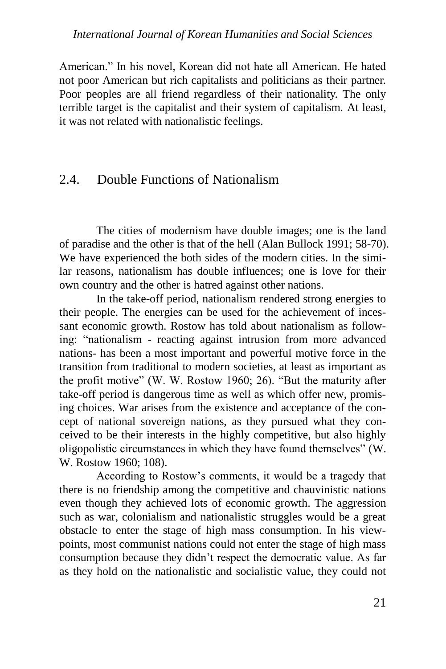#### *International Journal of Korean Humanities and Social Sciences*

American." In his novel, Korean did not hate all American. He hated not poor American but rich capitalists and politicians as their partner. Poor peoples are all friend regardless of their nationality. The only terrible target is the capitalist and their system of capitalism. At least, it was not related with nationalistic feelings.

## 2.4. Double Functions of Nationalism

The cities of modernism have double images; one is the land of paradise and the other is that of the hell (Alan Bullock 1991; 58-70). We have experienced the both sides of the modern cities. In the similar reasons, nationalism has double influences; one is love for their own country and the other is hatred against other nations.

In the take-off period, nationalism rendered strong energies to their people. The energies can be used for the achievement of incessant economic growth. Rostow has told about nationalism as following: "nationalism - reacting against intrusion from more advanced nations- has been a most important and powerful motive force in the transition from traditional to modern societies, at least as important as the profit motive" (W. W. Rostow 1960; 26). "But the maturity after take-off period is dangerous time as well as which offer new, promising choices. War arises from the existence and acceptance of the concept of national sovereign nations, as they pursued what they conceived to be their interests in the highly competitive, but also highly oligopolistic circumstances in which they have found themselves" (W. W. Rostow 1960; 108).

According to Rostow's comments, it would be a tragedy that there is no friendship among the competitive and chauvinistic nations even though they achieved lots of economic growth. The aggression such as war, colonialism and nationalistic struggles would be a great obstacle to enter the stage of high mass consumption. In his viewpoints, most communist nations could not enter the stage of high mass consumption because they didn't respect the democratic value. As far as they hold on the nationalistic and socialistic value, they could not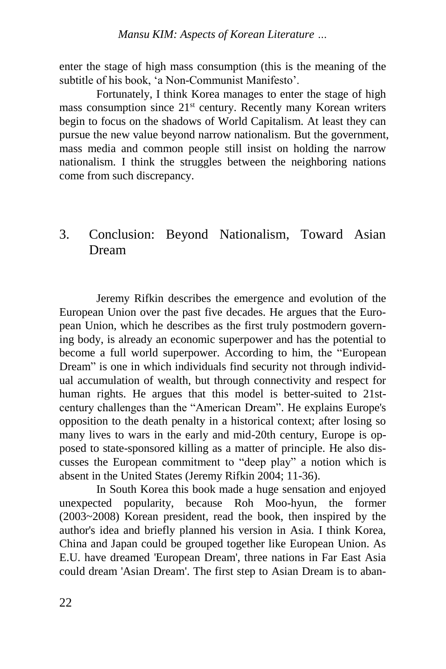enter the stage of high mass consumption (this is the meaning of the subtitle of his book, 'a Non-Communist Manifesto'.

Fortunately, I think Korea manages to enter the stage of high mass consumption since 21st century. Recently many Korean writers begin to focus on the shadows of World Capitalism. At least they can pursue the new value beyond narrow nationalism. But the government, mass media and common people still insist on holding the narrow nationalism. I think the struggles between the neighboring nations come from such discrepancy.

# 3. Conclusion: Beyond Nationalism, Toward Asian Dream

Jeremy Rifkin describes the emergence and evolution of the European Union over the past five decades. He argues that the European Union, which he describes as the first truly postmodern governing body, is already an economic superpower and has the potential to become a full world superpower. According to him, the "European Dream" is one in which individuals find security not through individual accumulation of wealth, but through connectivity and respect for human rights. He argues that this model is better-suited to 21stcentury challenges than the "American Dream". He explains Europe's opposition to the death penalty in a historical context; after losing so many lives to wars in the early and mid-20th century, Europe is opposed to state-sponsored killing as a matter of principle. He also discusses the European commitment to "deep play" a notion which is absent in the United States (Jeremy Rifkin 2004; 11-36).

In South Korea this book made a huge sensation and enjoyed unexpected popularity, because Roh Moo-hyun, the former (2003~2008) Korean president, read the book, then inspired by the author's idea and briefly planned his version in Asia. I think Korea, China and Japan could be grouped together like European Union. As E.U. have dreamed 'European Dream', three nations in Far East Asia could dream 'Asian Dream'. The first step to Asian Dream is to aban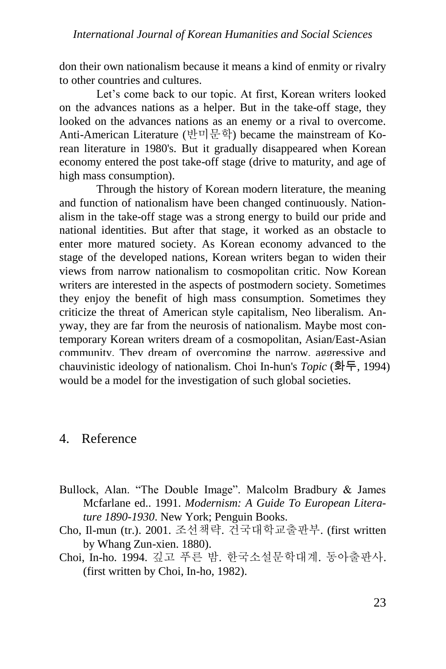don their own nationalism because it means a kind of enmity or rivalry to other countries and cultures.

Let's come back to our topic. At first, Korean writers looked on the advances nations as a helper. But in the take-off stage, they looked on the advances nations as an enemy or a rival to overcome. Anti-American Literature (반미문학) became the mainstream of Korean literature in 1980's. But it gradually disappeared when Korean economy entered the post take-off stage (drive to maturity, and age of high mass consumption).

Through the history of Korean modern literature, the meaning and function of nationalism have been changed continuously. Nationalism in the take-off stage was a strong energy to build our pride and national identities. But after that stage, it worked as an obstacle to enter more matured society. As Korean economy advanced to the stage of the developed nations, Korean writers began to widen their views from narrow nationalism to cosmopolitan critic. Now Korean writers are interested in the aspects of postmodern society. Sometimes they enjoy the benefit of high mass consumption. Sometimes they criticize the threat of American style capitalism, Neo liberalism. Anyway, they are far from the neurosis of nationalism. Maybe most contemporary Korean writers dream of a cosmopolitan, Asian/East-Asian community. They dream of overcoming the narrow, aggressive and chauvinistic ideology of nationalism. Choi In-hun's *Topic* (화두, 1994) would be a model for the investigation of such global societies.

## 4. Reference

- Bullock, Alan. "The Double Image". Malcolm Bradbury & James Mcfarlane ed.. 1991. *Modernism: A Guide To European Literature 1890-1930*. New York; Penguin Books.
- Cho, Il-mun (tr.). 2001. 조선책략. 건국대학교출판부. (first written by Whang Zun-xien. 1880).
- Choi, In-ho. 1994. 깊고 푸른 밤. 한국소설문학대계. 동아출판사. (first written by Choi, In-ho, 1982).